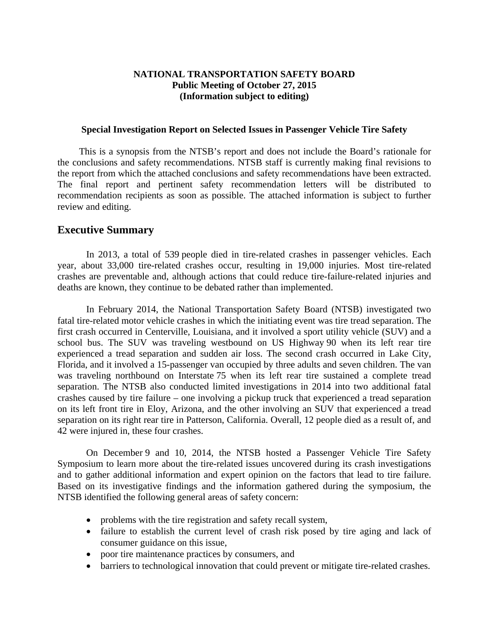### **NATIONAL TRANSPORTATION SAFETY BOARD Public Meeting of October 27, 2015 (Information subject to editing)**

#### **Special Investigation Report on Selected Issues in Passenger Vehicle Tire Safety**

This is a synopsis from the NTSB's report and does not include the Board's rationale for the conclusions and safety recommendations. NTSB staff is currently making final revisions to the report from which the attached conclusions and safety recommendations have been extracted. The final report and pertinent safety recommendation letters will be distributed to recommendation recipients as soon as possible. The attached information is subject to further review and editing.

### **Executive Summary**

In 2013, a total of 539 people died in tire-related crashes in passenger vehicles. Each year, about 33,000 tire-related crashes occur, resulting in 19,000 injuries. Most tire-related crashes are preventable and, although actions that could reduce tire-failure-related injuries and deaths are known, they continue to be debated rather than implemented.

In February 2014, the National Transportation Safety Board (NTSB) investigated two fatal tire-related motor vehicle crashes in which the initiating event was tire tread separation. The first crash occurred in Centerville, Louisiana, and it involved a sport utility vehicle (SUV) and a school bus. The SUV was traveling westbound on US Highway 90 when its left rear tire experienced a tread separation and sudden air loss. The second crash occurred in Lake City, Florida, and it involved a 15-passenger van occupied by three adults and seven children. The van was traveling northbound on Interstate 75 when its left rear tire sustained a complete tread separation. The NTSB also conducted limited investigations in 2014 into two additional fatal crashes caused by tire failure – one involving a pickup truck that experienced a tread separation on its left front tire in Eloy, Arizona, and the other involving an SUV that experienced a tread separation on its right rear tire in Patterson, California. Overall, 12 people died as a result of, and 42 were injured in, these four crashes.

On December 9 and 10, 2014, the NTSB hosted a Passenger Vehicle Tire Safety Symposium to learn more about the tire-related issues uncovered during its crash investigations and to gather additional information and expert opinion on the factors that lead to tire failure. Based on its investigative findings and the information gathered during the symposium, the NTSB identified the following general areas of safety concern:

- problems with the tire registration and safety recall system,
- failure to establish the current level of crash risk posed by tire aging and lack of consumer guidance on this issue,
- poor tire maintenance practices by consumers, and
- barriers to technological innovation that could prevent or mitigate tire-related crashes.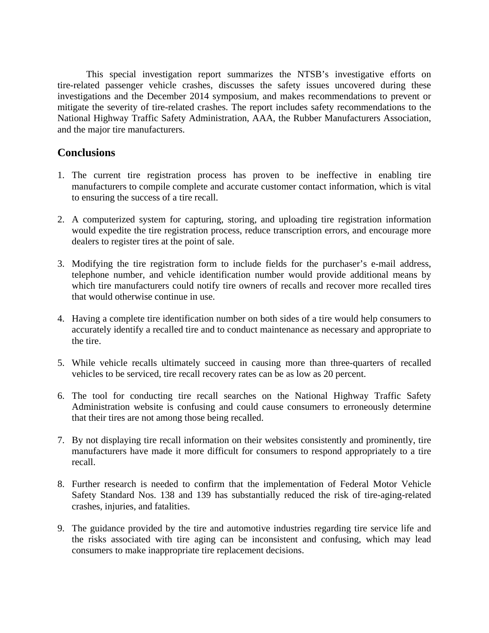This special investigation report summarizes the NTSB's investigative efforts on tire-related passenger vehicle crashes, discusses the safety issues uncovered during these investigations and the December 2014 symposium, and makes recommendations to prevent or mitigate the severity of tire-related crashes. The report includes safety recommendations to the National Highway Traffic Safety Administration, AAA, the Rubber Manufacturers Association, and the major tire manufacturers.

## **Conclusions**

- 1. The current tire registration process has proven to be ineffective in enabling tire manufacturers to compile complete and accurate customer contact information, which is vital to ensuring the success of a tire recall.
- 2. A computerized system for capturing, storing, and uploading tire registration information would expedite the tire registration process, reduce transcription errors, and encourage more dealers to register tires at the point of sale.
- 3. Modifying the tire registration form to include fields for the purchaser's e-mail address, telephone number, and vehicle identification number would provide additional means by which tire manufacturers could notify tire owners of recalls and recover more recalled tires that would otherwise continue in use.
- 4. Having a complete tire identification number on both sides of a tire would help consumers to accurately identify a recalled tire and to conduct maintenance as necessary and appropriate to the tire.
- 5. While vehicle recalls ultimately succeed in causing more than three-quarters of recalled vehicles to be serviced, tire recall recovery rates can be as low as 20 percent.
- 6. The tool for conducting tire recall searches on the National Highway Traffic Safety Administration website is confusing and could cause consumers to erroneously determine that their tires are not among those being recalled.
- 7. By not displaying tire recall information on their websites consistently and prominently, tire manufacturers have made it more difficult for consumers to respond appropriately to a tire recall.
- 8. Further research is needed to confirm that the implementation of Federal Motor Vehicle Safety Standard Nos. 138 and 139 has substantially reduced the risk of tire-aging-related crashes, injuries, and fatalities.
- 9. The guidance provided by the tire and automotive industries regarding tire service life and the risks associated with tire aging can be inconsistent and confusing, which may lead consumers to make inappropriate tire replacement decisions.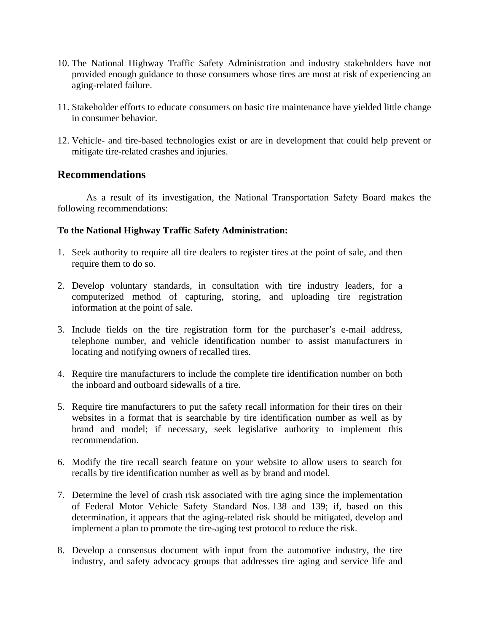- 10. The National Highway Traffic Safety Administration and industry stakeholders have not provided enough guidance to those consumers whose tires are most at risk of experiencing an aging-related failure.
- 11. Stakeholder efforts to educate consumers on basic tire maintenance have yielded little change in consumer behavior.
- 12. Vehicle- and tire-based technologies exist or are in development that could help prevent or mitigate tire-related crashes and injuries.

## **Recommendations**

As a result of its investigation, the National Transportation Safety Board makes the following recommendations:

### **To the National Highway Traffic Safety Administration:**

- 1. Seek authority to require all tire dealers to register tires at the point of sale, and then require them to do so.
- 2. Develop voluntary standards, in consultation with tire industry leaders, for a computerized method of capturing, storing, and uploading tire registration information at the point of sale.
- 3. Include fields on the tire registration form for the purchaser's e-mail address, telephone number, and vehicle identification number to assist manufacturers in locating and notifying owners of recalled tires.
- 4. Require tire manufacturers to include the complete tire identification number on both the inboard and outboard sidewalls of a tire.
- 5. Require tire manufacturers to put the safety recall information for their tires on their websites in a format that is searchable by tire identification number as well as by brand and model; if necessary, seek legislative authority to implement this recommendation.
- 6. Modify the tire recall search feature on your website to allow users to search for recalls by tire identification number as well as by brand and model.
- 7. Determine the level of crash risk associated with tire aging since the implementation of Federal Motor Vehicle Safety Standard Nos. 138 and 139; if, based on this determination, it appears that the aging-related risk should be mitigated, develop and implement a plan to promote the tire-aging test protocol to reduce the risk.
- 8. Develop a consensus document with input from the automotive industry, the tire industry, and safety advocacy groups that addresses tire aging and service life and